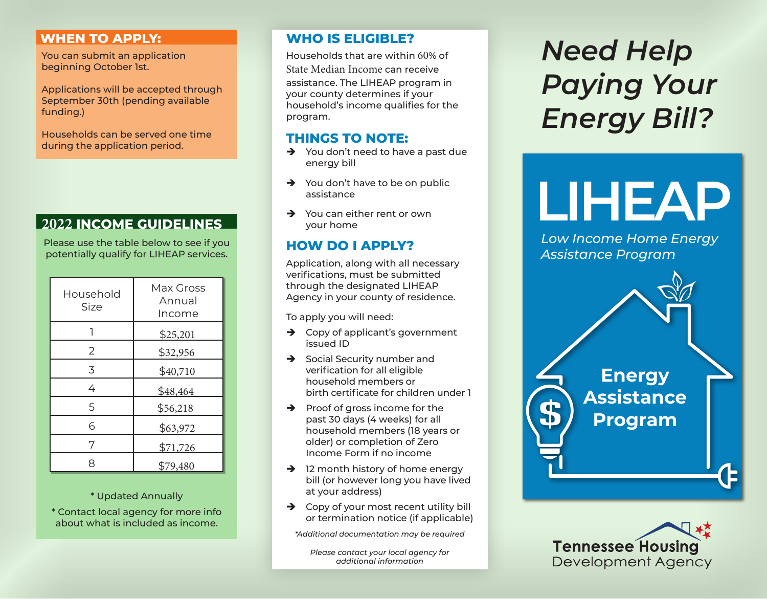## **WHEN TO APPLY:**

You can submit an application beginning October 1st.

Applications will be accepted through September 30th (pending available funding.)

Households can be served one time during the application period.

Please use the table below to see if you potentially qualify for LIHEAP services.

| Household<br>Size | Max Gross<br>Annual<br>Income |
|-------------------|-------------------------------|
|                   | \$25,201                      |
| 2                 | \$32,956                      |
| 3                 | \$40,710                      |
| 4                 | \$48,464                      |
| 5                 | \$56,218                      |
| 6                 | \$63,972                      |
| 7                 | \$71,726                      |
| 8                 | \$79,480                      |

### \* Updated Annually

\* Contact local agency for more info about what is included as income.

## **WHO IS ELIGIBLE?**

Households that are within 60% of State Median Income can receive

assistance. The LIHEAP program in your county determines if your household's income qualifies for the program.

## **THINGS TO NOTE:**

- $\rightarrow$  You don't need to have a past due energy bill
- $\rightarrow$  You don't have to be on public assistance
- $\rightarrow$  You can either rent or own your home

## **HOW DO I APPLY?**

Application, along with all necessary verifications, must be submitted through the designated LIHEAP Agency in your county of residence.

To apply you will need:

- $\rightarrow$  Copy of applicant's government issued ID
- $\rightarrow$  Social Security number and verification for all eligible household members or birth certificate for children under 1
- $\rightarrow$  Proof of gross income for the past 30 days (4 weeks) for all household members (18 years or older) or completion of Zero Income Form if no income
- $\rightarrow$  12 month history of home energy bill (or however long you have lived at your address)
- $\rightarrow$  Copy of your most recent utility bill or termination notice (if applicable)

*\*Additional documentation may be required*

*Please contact your local agency for additional information*

# *Need Help Paying Your Energy Bill?*

<del>2022</del><br>
2022 INCOME GUIDELINES → You can either rent or own<br>
2022 INCOME GUIDELINES → Your home

*Low Income Home Energy Assistance Program*